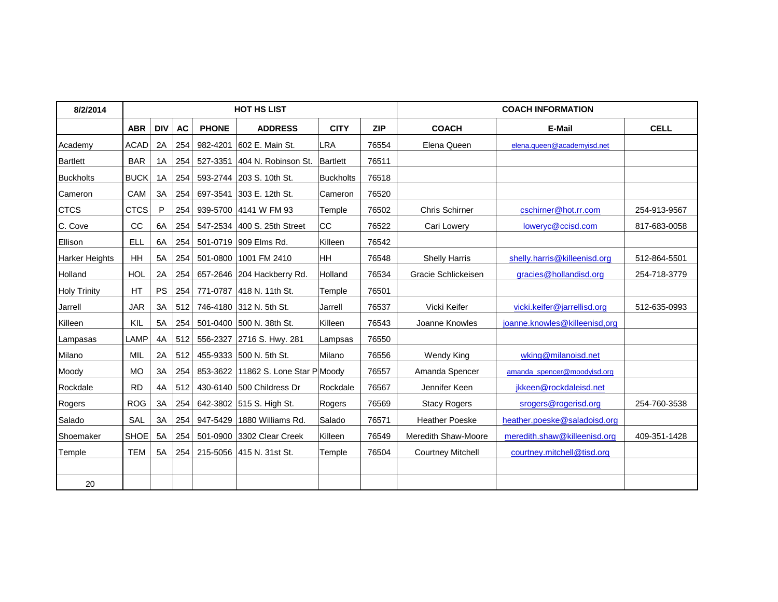| 8/2/2014            |             |            |           |              | <b>HOT HS LIST</b>                 |             |            | <b>COACH INFORMATION</b> |                               |              |  |
|---------------------|-------------|------------|-----------|--------------|------------------------------------|-------------|------------|--------------------------|-------------------------------|--------------|--|
|                     | <b>ABR</b>  | <b>DIV</b> | <b>AC</b> | <b>PHONE</b> | <b>ADDRESS</b>                     | <b>CITY</b> | <b>ZIP</b> | <b>COACH</b>             | E-Mail                        | <b>CELL</b>  |  |
| Academy             | ACAD        | 2A         | 254       | 982-4201     | 602 E. Main St.                    | LRA         | 76554      | Elena Queen              | elena.queen@academyisd.net    |              |  |
| <b>Bartlett</b>     | <b>BAR</b>  | 1A         | 254       |              | 527-3351 404 N. Robinson St.       | Bartlett    | 76511      |                          |                               |              |  |
| <b>Buckholts</b>    | <b>BUCK</b> | 1A         | 254       |              | 593-2744 203 S. 10th St.           | Buckholts   | 76518      |                          |                               |              |  |
| Cameron             | CAM         | 3A         | 254       |              | 697-3541 303 E. 12th St.           | Cameron     | 76520      |                          |                               |              |  |
| <b>CTCS</b>         | CTCS        | P          | 254       |              | 939-5700 4141 W FM 93              | Temple      | 76502      | <b>Chris Schirner</b>    | cschirner@hot.rr.com          | 254-913-9567 |  |
| C. Cove             | cc          | 6A         | 254       |              | 547-2534 400 S. 25th Street        | CC          | 76522      | Cari Lowery              | loweryc@ccisd.com             | 817-683-0058 |  |
| Ellison             | ELL         | 6A         | 254       |              | 501-0719 909 Elms Rd.              | Killeen     | 76542      |                          |                               |              |  |
| Harker Heights      | HH          | 5A         | 254       |              | 501-0800 1001 FM 2410              | HH          | 76548      | <b>Shelly Harris</b>     | shelly.harris@killeenisd.org  | 512-864-5501 |  |
| Holland             | <b>HOL</b>  | 2A         | 254       |              | 657-2646 204 Hackberry Rd.         | Holland     | 76534      | Gracie Schlickeisen      | gracies@hollandisd.org        | 254-718-3779 |  |
| <b>Holy Trinity</b> | HT          | PS         | 254       |              | 771-0787 418 N. 11th St.           | Temple      | 76501      |                          |                               |              |  |
| Jarrell             | <b>JAR</b>  | 3A         | 512       |              | 746-4180 312 N. 5th St.            | Jarrell     | 76537      | Vicki Keifer             | vicki.keifer@jarrellisd.org   | 512-635-0993 |  |
| Killeen             | KIL         | 5A         | 254       |              | 501-0400 500 N. 38th St.           | Killeen     | 76543      | Joanne Knowles           | joanne.knowles@killeenisd,org |              |  |
| Lampasas            | LAMP        | 4A         | 512       |              | 556-2327 2716 S. Hwy. 281          | Lampsas     | 76550      |                          |                               |              |  |
| Milano              | MIL         | 2A         | 512       |              | 455-9333 500 N. 5th St.            | Milano      | 76556      | Wendy King               | wking@milanoisd.net           |              |  |
| Moody               | <b>MO</b>   | 3A         | 254       |              | 853-3622 11862 S. Lone Star PMoody |             | 76557      | Amanda Spencer           | amanda_spencer@moodyisd.org   |              |  |
| Rockdale            | <b>RD</b>   | 4A         | 512       |              | 430-6140 500 Childress Dr          | Rockdale    | 76567      | Jennifer Keen            | jkkeen@rockdaleisd.net        |              |  |
| Rogers              | ROG         | 3A         | 254       |              | 642-3802 515 S. High St.           | Rogers      | 76569      | <b>Stacy Rogers</b>      | srogers@rogerisd.org          | 254-760-3538 |  |
| Salado              | <b>SAL</b>  | 3A         | 254       |              | 947-5429 1880 Williams Rd.         | Salado      | 76571      | <b>Heather Poeske</b>    | heather.poeske@saladoisd.org  |              |  |
| Shoemaker           | SHOE        | 5A         | 254       |              | 501-0900 3302 Clear Creek          | Killeen     | 76549      | Meredith Shaw-Moore      | meredith.shaw@killeenisd.org  | 409-351-1428 |  |
| Temple              | TEM         | 5A         | 254       |              | 215-5056 415 N. 31st St.           | Temple      | 76504      | <b>Courtney Mitchell</b> | courtney.mitchell@tisd.org    |              |  |
| 20                  |             |            |           |              |                                    |             |            |                          |                               |              |  |